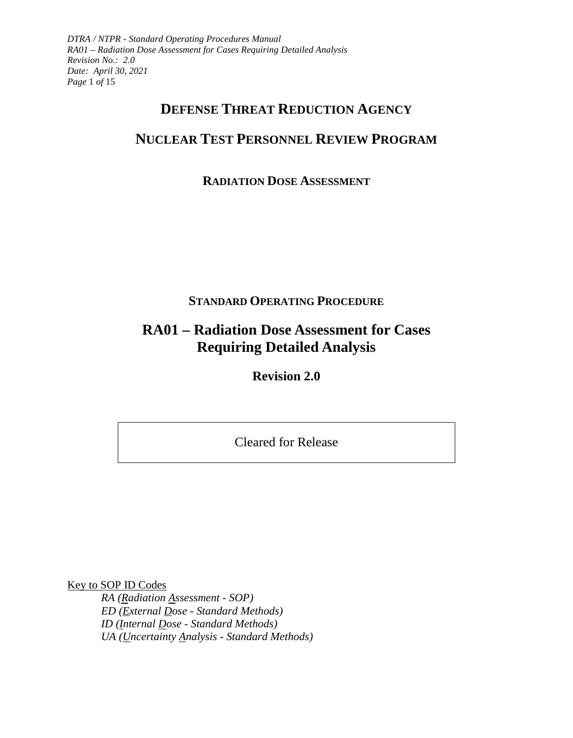*DTRA / NTPR - Standard Operating Procedures Manual RA01 – Radiation Dose Assessment for Cases Requiring Detailed Analysis Revision No.: 2.0 Date: April 30, 2021 Page* 1 *of* 15

# **DEFENSE THREAT REDUCTION AGENCY**

# **NUCLEAR TEST PERSONNEL REVIEW PROGRAM**

## **RADIATION DOSE ASSESSMENT**

## **STANDARD OPERATING PROCEDURE**

# **RA01 – Radiation Dose Assessment for Cases Requiring Detailed Analysis**

**Revision 2.0** 

Cleared for Release

Key to SOP ID Codes

*RA (Radiation Assessment - SOP) ED (External Dose - Standard Methods) ID (Internal Dose - Standard Methods) UA (Uncertainty Analysis - Standard Methods)*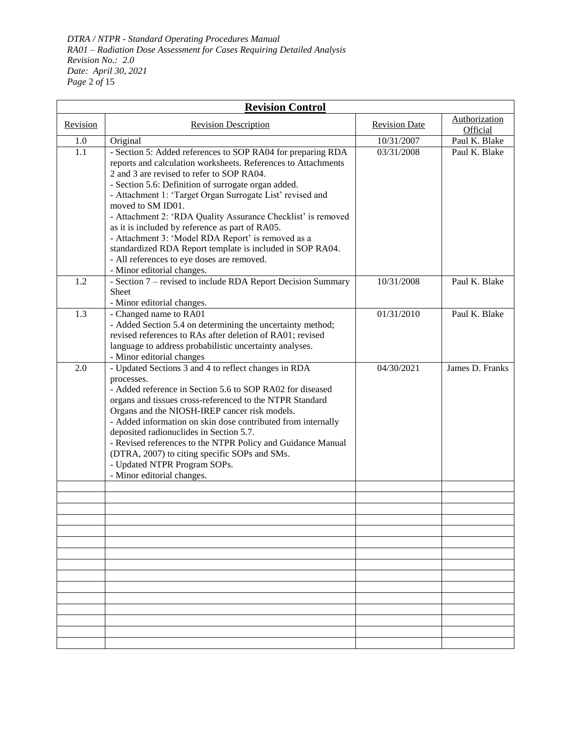*DTRA / NTPR - Standard Operating Procedures Manual RA01 – Radiation Dose Assessment for Cases Requiring Detailed Analysis Revision No.: 2.0 Date: April 30, 2021 Page* 2 *of* 15

| <b>Revision Control</b> |                                                                                                                                                                                                                                                                                                                                                                                                                                                                                                                                                                                                                                      |                      |                           |  |  |  |  |
|-------------------------|--------------------------------------------------------------------------------------------------------------------------------------------------------------------------------------------------------------------------------------------------------------------------------------------------------------------------------------------------------------------------------------------------------------------------------------------------------------------------------------------------------------------------------------------------------------------------------------------------------------------------------------|----------------------|---------------------------|--|--|--|--|
| Revision                | <b>Revision Description</b>                                                                                                                                                                                                                                                                                                                                                                                                                                                                                                                                                                                                          | <b>Revision Date</b> | Authorization<br>Official |  |  |  |  |
| 1.0                     | Original                                                                                                                                                                                                                                                                                                                                                                                                                                                                                                                                                                                                                             | 10/31/2007           | Paul K. Blake             |  |  |  |  |
| 1.1                     | - Section 5: Added references to SOP RA04 for preparing RDA<br>reports and calculation worksheets. References to Attachments<br>2 and 3 are revised to refer to SOP RA04.<br>- Section 5.6: Definition of surrogate organ added.<br>- Attachment 1: 'Target Organ Surrogate List' revised and<br>moved to SM ID01.<br>- Attachment 2: 'RDA Quality Assurance Checklist' is removed<br>as it is included by reference as part of RA05.<br>- Attachment 3: 'Model RDA Report' is removed as a<br>standardized RDA Report template is included in SOP RA04.<br>- All references to eye doses are removed.<br>- Minor editorial changes. | 03/31/2008           | Paul K. Blake             |  |  |  |  |
| 1.2                     | - Section 7 – revised to include RDA Report Decision Summary<br>Sheet<br>- Minor editorial changes.                                                                                                                                                                                                                                                                                                                                                                                                                                                                                                                                  | 10/31/2008           | Paul K. Blake             |  |  |  |  |
| 1.3                     | - Changed name to RA01<br>- Added Section 5.4 on determining the uncertainty method;<br>revised references to RAs after deletion of RA01; revised<br>language to address probabilistic uncertainty analyses.<br>- Minor editorial changes                                                                                                                                                                                                                                                                                                                                                                                            | 01/31/2010           | Paul K. Blake             |  |  |  |  |
| 2.0                     | - Updated Sections 3 and 4 to reflect changes in RDA<br>processes.<br>- Added reference in Section 5.6 to SOP RA02 for diseased<br>organs and tissues cross-referenced to the NTPR Standard<br>Organs and the NIOSH-IREP cancer risk models.<br>- Added information on skin dose contributed from internally<br>deposited radionuclides in Section 5.7.<br>- Revised references to the NTPR Policy and Guidance Manual<br>(DTRA, 2007) to citing specific SOPs and SMs.<br>- Updated NTPR Program SOPs.<br>- Minor editorial changes.                                                                                                | 04/30/2021           | James D. Franks           |  |  |  |  |
|                         |                                                                                                                                                                                                                                                                                                                                                                                                                                                                                                                                                                                                                                      |                      |                           |  |  |  |  |
|                         |                                                                                                                                                                                                                                                                                                                                                                                                                                                                                                                                                                                                                                      |                      |                           |  |  |  |  |
|                         |                                                                                                                                                                                                                                                                                                                                                                                                                                                                                                                                                                                                                                      |                      |                           |  |  |  |  |
|                         |                                                                                                                                                                                                                                                                                                                                                                                                                                                                                                                                                                                                                                      |                      |                           |  |  |  |  |
|                         |                                                                                                                                                                                                                                                                                                                                                                                                                                                                                                                                                                                                                                      |                      |                           |  |  |  |  |
|                         |                                                                                                                                                                                                                                                                                                                                                                                                                                                                                                                                                                                                                                      |                      |                           |  |  |  |  |
|                         |                                                                                                                                                                                                                                                                                                                                                                                                                                                                                                                                                                                                                                      |                      |                           |  |  |  |  |
|                         |                                                                                                                                                                                                                                                                                                                                                                                                                                                                                                                                                                                                                                      |                      |                           |  |  |  |  |
|                         |                                                                                                                                                                                                                                                                                                                                                                                                                                                                                                                                                                                                                                      |                      |                           |  |  |  |  |
|                         |                                                                                                                                                                                                                                                                                                                                                                                                                                                                                                                                                                                                                                      |                      |                           |  |  |  |  |
|                         |                                                                                                                                                                                                                                                                                                                                                                                                                                                                                                                                                                                                                                      |                      |                           |  |  |  |  |
|                         |                                                                                                                                                                                                                                                                                                                                                                                                                                                                                                                                                                                                                                      |                      |                           |  |  |  |  |
|                         |                                                                                                                                                                                                                                                                                                                                                                                                                                                                                                                                                                                                                                      |                      |                           |  |  |  |  |
|                         |                                                                                                                                                                                                                                                                                                                                                                                                                                                                                                                                                                                                                                      |                      |                           |  |  |  |  |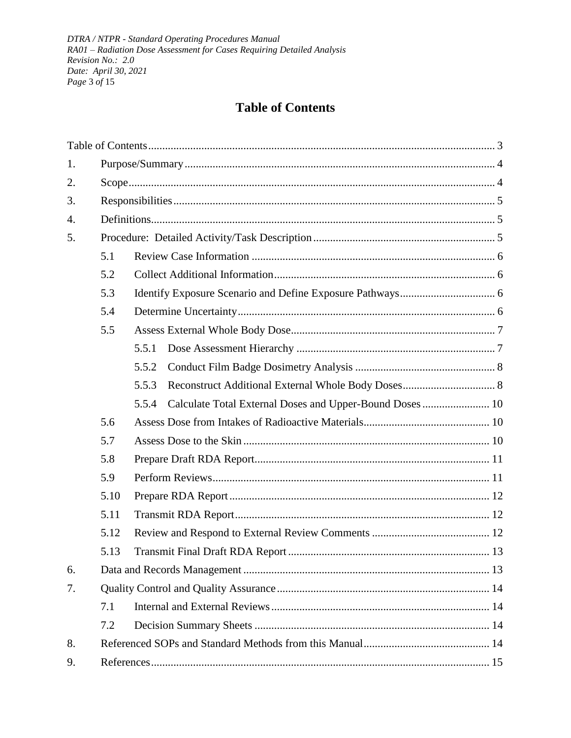DTRA / NTPR - Standard Operating Procedures Manual RA01 - Radiation Dose Assessment for Cases Requiring Detailed Analysis Revision No.: 2.0 Date: April 30, 2021 Page 3 of 15

## **Table of Contents**

<span id="page-2-0"></span>

| 1. |      |                                                                   |  |  |  |
|----|------|-------------------------------------------------------------------|--|--|--|
| 2. |      |                                                                   |  |  |  |
| 3. |      |                                                                   |  |  |  |
| 4. |      |                                                                   |  |  |  |
| 5. |      |                                                                   |  |  |  |
|    | 5.1  |                                                                   |  |  |  |
|    | 5.2  |                                                                   |  |  |  |
|    | 5.3  |                                                                   |  |  |  |
|    | 5.4  |                                                                   |  |  |  |
|    | 5.5  |                                                                   |  |  |  |
|    |      | 5.5.1                                                             |  |  |  |
|    |      | 5.5.2                                                             |  |  |  |
|    |      | 5.5.3                                                             |  |  |  |
|    |      | Calculate Total External Doses and Upper-Bound Doses  10<br>5.5.4 |  |  |  |
|    | 5.6  |                                                                   |  |  |  |
|    | 5.7  |                                                                   |  |  |  |
|    | 5.8  |                                                                   |  |  |  |
|    | 5.9  |                                                                   |  |  |  |
|    | 5.10 |                                                                   |  |  |  |
|    | 5.11 |                                                                   |  |  |  |
|    | 5.12 |                                                                   |  |  |  |
|    | 5.13 |                                                                   |  |  |  |
| 6. |      |                                                                   |  |  |  |
| 7. |      |                                                                   |  |  |  |
|    | 7.1  |                                                                   |  |  |  |
|    | 7.2  |                                                                   |  |  |  |
| 8. |      |                                                                   |  |  |  |
| 9. |      |                                                                   |  |  |  |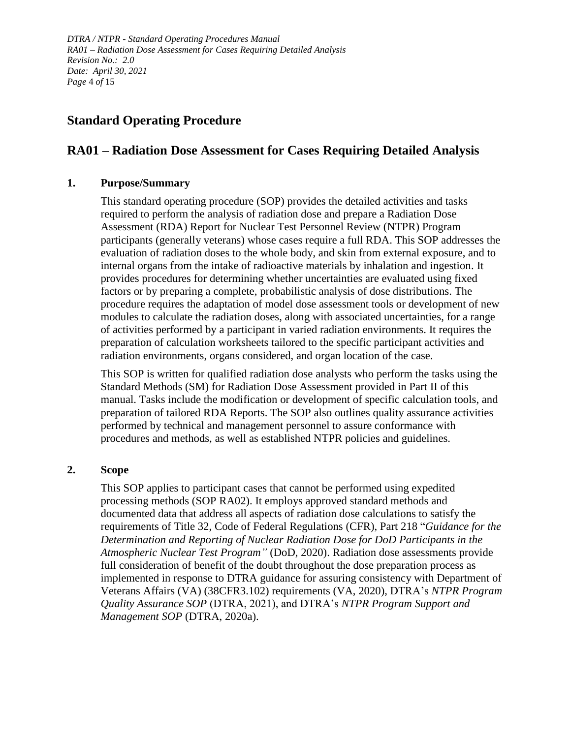*DTRA / NTPR - Standard Operating Procedures Manual RA01 – Radiation Dose Assessment for Cases Requiring Detailed Analysis Revision No.: 2.0 Date: April 30, 2021 Page* 4 *of* 15

## **Standard Operating Procedure**

## **RA01 – Radiation Dose Assessment for Cases Requiring Detailed Analysis**

## <span id="page-3-0"></span>**1. Purpose/Summary**

This standard operating procedure (SOP) provides the detailed activities and tasks required to perform the analysis of radiation dose and prepare a Radiation Dose Assessment (RDA) Report for Nuclear Test Personnel Review (NTPR) Program participants (generally veterans) whose cases require a full RDA. This SOP addresses the evaluation of radiation doses to the whole body, and skin from external exposure, and to internal organs from the intake of radioactive materials by inhalation and ingestion. It provides procedures for determining whether uncertainties are evaluated using fixed factors or by preparing a complete, probabilistic analysis of dose distributions. The procedure requires the adaptation of model dose assessment tools or development of new modules to calculate the radiation doses, along with associated uncertainties, for a range of activities performed by a participant in varied radiation environments. It requires the preparation of calculation worksheets tailored to the specific participant activities and radiation environments, organs considered, and organ location of the case.

This SOP is written for qualified radiation dose analysts who perform the tasks using the Standard Methods (SM) for Radiation Dose Assessment provided in Part II of this manual. Tasks include the modification or development of specific calculation tools, and preparation of tailored RDA Reports. The SOP also outlines quality assurance activities performed by technical and management personnel to assure conformance with procedures and methods, as well as established NTPR policies and guidelines.

## <span id="page-3-1"></span>**2. Scope**

This SOP applies to participant cases that cannot be performed using expedited processing methods (SOP RA02). It employs approved standard methods and documented data that address all aspects of radiation dose calculations to satisfy the requirements of Title 32, Code of Federal Regulations (CFR), Part 218 "*Guidance for the Determination and Reporting of Nuclear Radiation Dose for DoD Participants in the Atmospheric Nuclear Test Program"* (DoD, 2020). Radiation dose assessments provide full consideration of benefit of the doubt throughout the dose preparation process as implemented in response to DTRA guidance for assuring consistency with Department of Veterans Affairs (VA) (38CFR3.102) requirements (VA, 2020), DTRA's *NTPR Program Quality Assurance SOP* (DTRA, 2021), and DTRA's *NTPR Program Support and Management SOP* (DTRA, 2020a).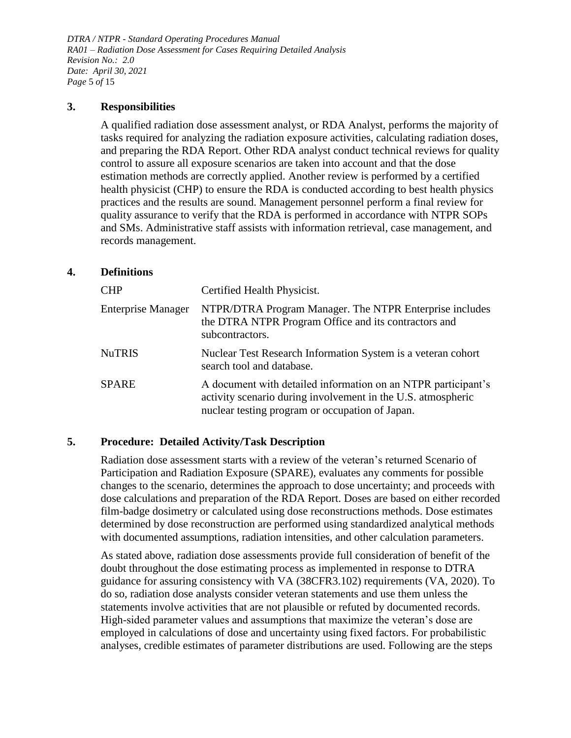*DTRA / NTPR - Standard Operating Procedures Manual RA01 – Radiation Dose Assessment for Cases Requiring Detailed Analysis Revision No.: 2.0 Date: April 30, 2021 Page* 5 *of* 15

#### <span id="page-4-0"></span>**3. Responsibilities**

A qualified radiation dose assessment analyst, or RDA Analyst, performs the majority of tasks required for analyzing the radiation exposure activities, calculating radiation doses, and preparing the RDA Report. Other RDA analyst conduct technical reviews for quality control to assure all exposure scenarios are taken into account and that the dose estimation methods are correctly applied. Another review is performed by a certified health physicist (CHP) to ensure the RDA is conducted according to best health physics practices and the results are sound. Management personnel perform a final review for quality assurance to verify that the RDA is performed in accordance with NTPR SOPs and SMs. Administrative staff assists with information retrieval, case management, and records management.

## <span id="page-4-1"></span>**4. Definitions**

| <b>CHP</b>                | Certified Health Physicist.                                                                                                                                                      |
|---------------------------|----------------------------------------------------------------------------------------------------------------------------------------------------------------------------------|
| <b>Enterprise Manager</b> | NTPR/DTRA Program Manager. The NTPR Enterprise includes<br>the DTRA NTPR Program Office and its contractors and<br>subcontractors.                                               |
| NuTRIS                    | Nuclear Test Research Information System is a veteran cohort<br>search tool and database.                                                                                        |
| SPARE                     | A document with detailed information on an NTPR participant's<br>activity scenario during involvement in the U.S. atmospheric<br>nuclear testing program or occupation of Japan. |

## <span id="page-4-2"></span>**5. Procedure: Detailed Activity/Task Description**

Radiation dose assessment starts with a review of the veteran's returned Scenario of Participation and Radiation Exposure (SPARE), evaluates any comments for possible changes to the scenario, determines the approach to dose uncertainty; and proceeds with dose calculations and preparation of the RDA Report. Doses are based on either recorded film-badge dosimetry or calculated using dose reconstructions methods. Dose estimates determined by dose reconstruction are performed using standardized analytical methods with documented assumptions, radiation intensities, and other calculation parameters.

As stated above, radiation dose assessments provide full consideration of benefit of the doubt throughout the dose estimating process as implemented in response to DTRA guidance for assuring consistency with VA (38CFR3.102) requirements (VA, 2020). To do so, radiation dose analysts consider veteran statements and use them unless the statements involve activities that are not plausible or refuted by documented records. High-sided parameter values and assumptions that maximize the veteran's dose are employed in calculations of dose and uncertainty using fixed factors. For probabilistic analyses, credible estimates of parameter distributions are used. Following are the steps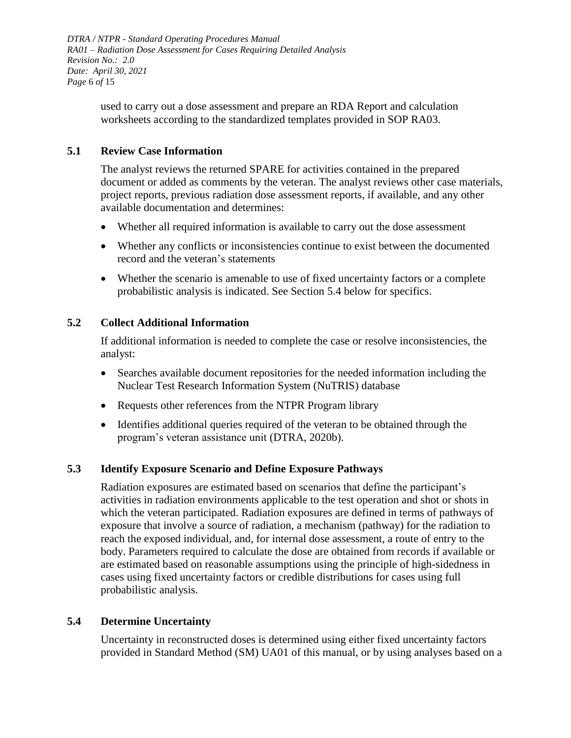*DTRA / NTPR - Standard Operating Procedures Manual RA01 – Radiation Dose Assessment for Cases Requiring Detailed Analysis Revision No.: 2.0 Date: April 30, 2021 Page* 6 *of* 15

> used to carry out a dose assessment and prepare an RDA Report and calculation worksheets according to the standardized templates provided in SOP RA03.

## <span id="page-5-0"></span>**5.1 Review Case Information**

The analyst reviews the returned SPARE for activities contained in the prepared document or added as comments by the veteran. The analyst reviews other case materials, project reports, previous radiation dose assessment reports, if available, and any other available documentation and determines:

- Whether all required information is available to carry out the dose assessment
- Whether any conflicts or inconsistencies continue to exist between the documented record and the veteran's statements
- Whether the scenario is amenable to use of fixed uncertainty factors or a complete probabilistic analysis is indicated. See Section 5.4 below for specifics.

## <span id="page-5-1"></span>**5.2 Collect Additional Information**

If additional information is needed to complete the case or resolve inconsistencies, the analyst:

- Searches available document repositories for the needed information including the Nuclear Test Research Information System (NuTRIS) database
- Requests other references from the NTPR Program library
- Identifies additional queries required of the veteran to be obtained through the program's veteran assistance unit (DTRA, 2020b).

## <span id="page-5-2"></span>**5.3 Identify Exposure Scenario and Define Exposure Pathways**

Radiation exposures are estimated based on scenarios that define the participant's activities in radiation environments applicable to the test operation and shot or shots in which the veteran participated. Radiation exposures are defined in terms of pathways of exposure that involve a source of radiation, a mechanism (pathway) for the radiation to reach the exposed individual, and, for internal dose assessment, a route of entry to the body. Parameters required to calculate the dose are obtained from records if available or are estimated based on reasonable assumptions using the principle of high-sidedness in cases using fixed uncertainty factors or credible distributions for cases using full probabilistic analysis.

#### <span id="page-5-3"></span>**5.4 Determine Uncertainty**

Uncertainty in reconstructed doses is determined using either fixed uncertainty factors provided in Standard Method (SM) UA01 of this manual, or by using analyses based on a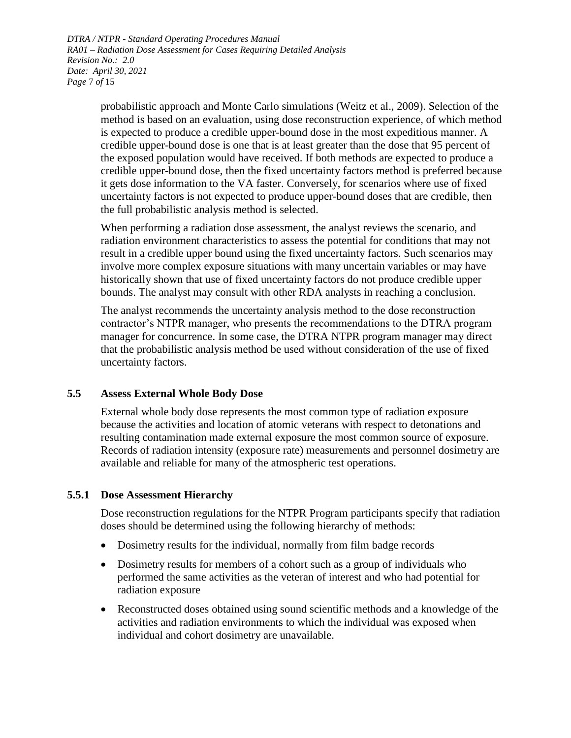*DTRA / NTPR - Standard Operating Procedures Manual RA01 – Radiation Dose Assessment for Cases Requiring Detailed Analysis Revision No.: 2.0 Date: April 30, 2021 Page* 7 *of* 15

> probabilistic approach and Monte Carlo simulations (Weitz et al., 2009). Selection of the method is based on an evaluation, using dose reconstruction experience, of which method is expected to produce a credible upper-bound dose in the most expeditious manner. A credible upper-bound dose is one that is at least greater than the dose that 95 percent of the exposed population would have received. If both methods are expected to produce a credible upper-bound dose, then the fixed uncertainty factors method is preferred because it gets dose information to the VA faster. Conversely, for scenarios where use of fixed uncertainty factors is not expected to produce upper-bound doses that are credible, then the full probabilistic analysis method is selected.

When performing a radiation dose assessment, the analyst reviews the scenario, and radiation environment characteristics to assess the potential for conditions that may not result in a credible upper bound using the fixed uncertainty factors. Such scenarios may involve more complex exposure situations with many uncertain variables or may have historically shown that use of fixed uncertainty factors do not produce credible upper bounds. The analyst may consult with other RDA analysts in reaching a conclusion.

The analyst recommends the uncertainty analysis method to the dose reconstruction contractor's NTPR manager, who presents the recommendations to the DTRA program manager for concurrence. In some case, the DTRA NTPR program manager may direct that the probabilistic analysis method be used without consideration of the use of fixed uncertainty factors.

#### <span id="page-6-0"></span>**5.5 Assess External Whole Body Dose**

External whole body dose represents the most common type of radiation exposure because the activities and location of atomic veterans with respect to detonations and resulting contamination made external exposure the most common source of exposure. Records of radiation intensity (exposure rate) measurements and personnel dosimetry are available and reliable for many of the atmospheric test operations.

#### <span id="page-6-1"></span>**5.5.1 Dose Assessment Hierarchy**

Dose reconstruction regulations for the NTPR Program participants specify that radiation doses should be determined using the following hierarchy of methods:

- Dosimetry results for the individual, normally from film badge records
- Dosimetry results for members of a cohort such as a group of individuals who performed the same activities as the veteran of interest and who had potential for radiation exposure
- Reconstructed doses obtained using sound scientific methods and a knowledge of the activities and radiation environments to which the individual was exposed when individual and cohort dosimetry are unavailable.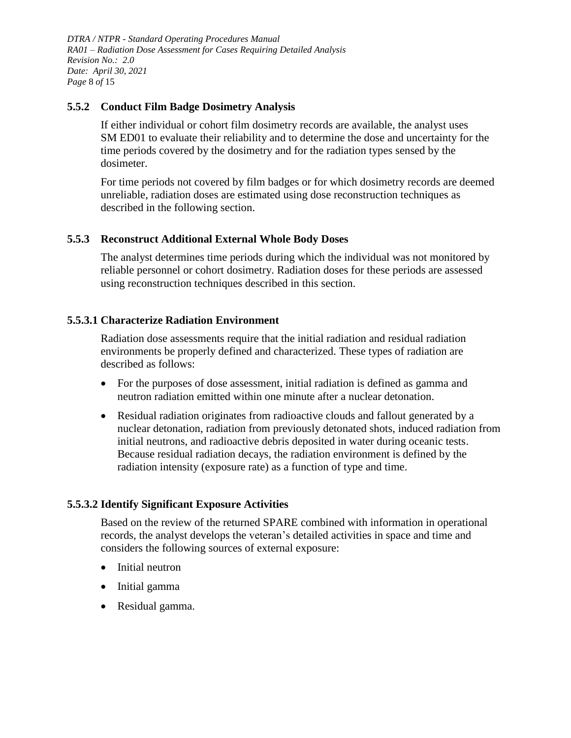*DTRA / NTPR - Standard Operating Procedures Manual RA01 – Radiation Dose Assessment for Cases Requiring Detailed Analysis Revision No.: 2.0 Date: April 30, 2021 Page* 8 *of* 15

### <span id="page-7-0"></span>**5.5.2 Conduct Film Badge Dosimetry Analysis**

If either individual or cohort film dosimetry records are available, the analyst uses SM ED01 to evaluate their reliability and to determine the dose and uncertainty for the time periods covered by the dosimetry and for the radiation types sensed by the dosimeter.

For time periods not covered by film badges or for which dosimetry records are deemed unreliable, radiation doses are estimated using dose reconstruction techniques as described in the following section.

## <span id="page-7-1"></span>**5.5.3 Reconstruct Additional External Whole Body Doses**

The analyst determines time periods during which the individual was not monitored by reliable personnel or cohort dosimetry. Radiation doses for these periods are assessed using reconstruction techniques described in this section.

## **5.5.3.1 Characterize Radiation Environment**

Radiation dose assessments require that the initial radiation and residual radiation environments be properly defined and characterized. These types of radiation are described as follows:

- For the purposes of dose assessment, initial radiation is defined as gamma and neutron radiation emitted within one minute after a nuclear detonation.
- Residual radiation originates from radioactive clouds and fallout generated by a nuclear detonation, radiation from previously detonated shots, induced radiation from initial neutrons, and radioactive debris deposited in water during oceanic tests. Because residual radiation decays, the radiation environment is defined by the radiation intensity (exposure rate) as a function of type and time.

## **5.5.3.2 Identify Significant Exposure Activities**

Based on the review of the returned SPARE combined with information in operational records, the analyst develops the veteran's detailed activities in space and time and considers the following sources of external exposure:

- Initial neutron
- Initial gamma
- Residual gamma.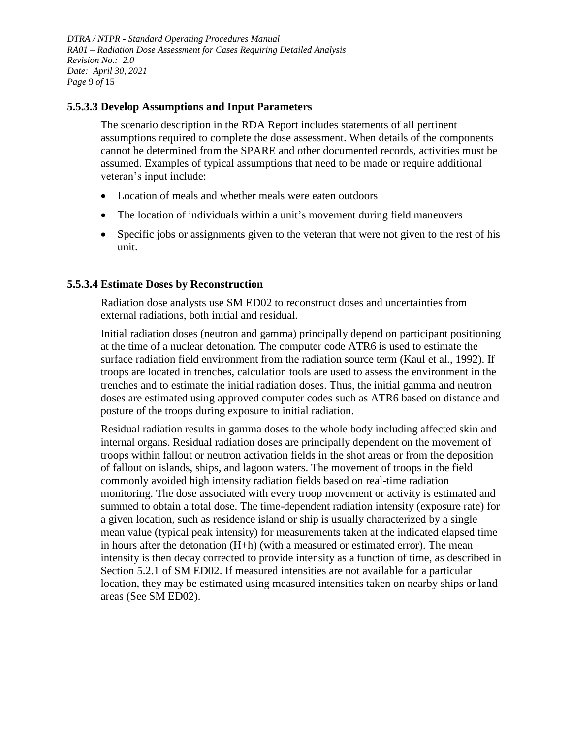*DTRA / NTPR - Standard Operating Procedures Manual RA01 – Radiation Dose Assessment for Cases Requiring Detailed Analysis Revision No.: 2.0 Date: April 30, 2021 Page* 9 *of* 15

#### **5.5.3.3 Develop Assumptions and Input Parameters**

The scenario description in the RDA Report includes statements of all pertinent assumptions required to complete the dose assessment. When details of the components cannot be determined from the SPARE and other documented records, activities must be assumed. Examples of typical assumptions that need to be made or require additional veteran's input include:

- Location of meals and whether meals were eaten outdoors
- The location of individuals within a unit's movement during field maneuvers
- Specific jobs or assignments given to the veteran that were not given to the rest of his unit.

#### **5.5.3.4 Estimate Doses by Reconstruction**

Radiation dose analysts use SM ED02 to reconstruct doses and uncertainties from external radiations, both initial and residual.

Initial radiation doses (neutron and gamma) principally depend on participant positioning at the time of a nuclear detonation. The computer code ATR6 is used to estimate the surface radiation field environment from the radiation source term (Kaul et al., 1992). If troops are located in trenches, calculation tools are used to assess the environment in the trenches and to estimate the initial radiation doses. Thus, the initial gamma and neutron doses are estimated using approved computer codes such as ATR6 based on distance and posture of the troops during exposure to initial radiation.

Residual radiation results in gamma doses to the whole body including affected skin and internal organs. Residual radiation doses are principally dependent on the movement of troops within fallout or neutron activation fields in the shot areas or from the deposition of fallout on islands, ships, and lagoon waters. The movement of troops in the field commonly avoided high intensity radiation fields based on real-time radiation monitoring. The dose associated with every troop movement or activity is estimated and summed to obtain a total dose. The time-dependent radiation intensity (exposure rate) for a given location, such as residence island or ship is usually characterized by a single mean value (typical peak intensity) for measurements taken at the indicated elapsed time in hours after the detonation (H+h) (with a measured or estimated error). The mean intensity is then decay corrected to provide intensity as a function of time, as described in Section 5.2.1 of SM ED02. If measured intensities are not available for a particular location, they may be estimated using measured intensities taken on nearby ships or land areas (See SM ED02).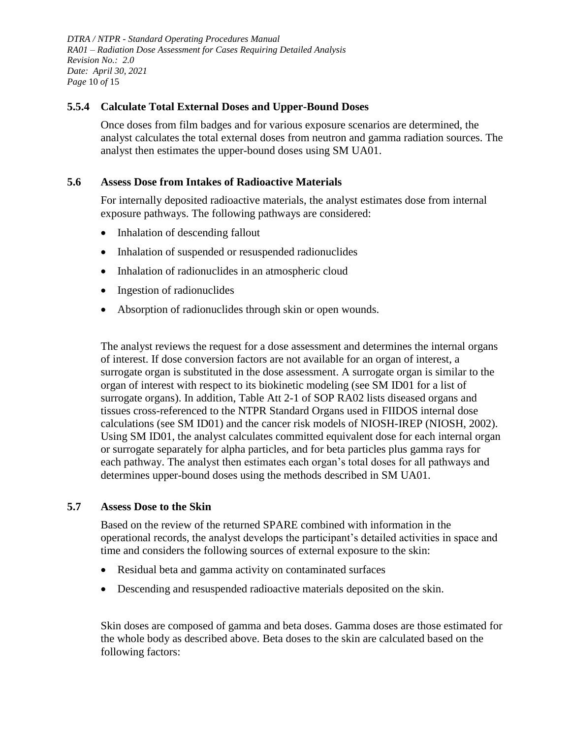*DTRA / NTPR - Standard Operating Procedures Manual RA01 – Radiation Dose Assessment for Cases Requiring Detailed Analysis Revision No.: 2.0 Date: April 30, 2021 Page* 10 *of* 15

### <span id="page-9-0"></span>**5.5.4 Calculate Total External Doses and Upper-Bound Doses**

Once doses from film badges and for various exposure scenarios are determined, the analyst calculates the total external doses from neutron and gamma radiation sources. The analyst then estimates the upper-bound doses using SM UA01.

#### <span id="page-9-1"></span>**5.6 Assess Dose from Intakes of Radioactive Materials**

For internally deposited radioactive materials, the analyst estimates dose from internal exposure pathways. The following pathways are considered:

- Inhalation of descending fallout
- Inhalation of suspended or resuspended radionuclides
- Inhalation of radionuclides in an atmospheric cloud
- Ingestion of radionuclides
- Absorption of radionuclides through skin or open wounds.

The analyst reviews the request for a dose assessment and determines the internal organs of interest. If dose conversion factors are not available for an organ of interest, a surrogate organ is substituted in the dose assessment. A surrogate organ is similar to the organ of interest with respect to its biokinetic modeling (see SM ID01 for a list of surrogate organs). In addition, Table Att 2-1 of SOP RA02 lists diseased organs and tissues cross-referenced to the NTPR Standard Organs used in FIIDOS internal dose calculations (see SM ID01) and the cancer risk models of NIOSH-IREP (NIOSH, 2002). Using SM ID01, the analyst calculates committed equivalent dose for each internal organ or surrogate separately for alpha particles, and for beta particles plus gamma rays for each pathway. The analyst then estimates each organ's total doses for all pathways and determines upper-bound doses using the methods described in SM UA01.

#### <span id="page-9-2"></span>**5.7 Assess Dose to the Skin**

Based on the review of the returned SPARE combined with information in the operational records, the analyst develops the participant's detailed activities in space and time and considers the following sources of external exposure to the skin:

- Residual beta and gamma activity on contaminated surfaces
- Descending and resuspended radioactive materials deposited on the skin.

Skin doses are composed of gamma and beta doses. Gamma doses are those estimated for the whole body as described above. Beta doses to the skin are calculated based on the following factors: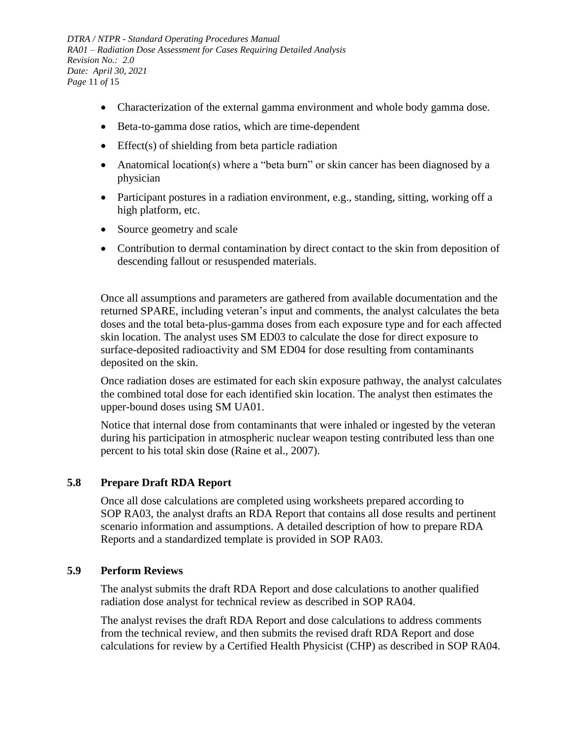*DTRA / NTPR - Standard Operating Procedures Manual RA01 – Radiation Dose Assessment for Cases Requiring Detailed Analysis Revision No.: 2.0 Date: April 30, 2021 Page* 11 *of* 15

- Characterization of the external gamma environment and whole body gamma dose.
- Beta-to-gamma dose ratios, which are time-dependent
- $\bullet$  Effect(s) of shielding from beta particle radiation
- Anatomical location(s) where a "beta burn" or skin cancer has been diagnosed by a physician
- Participant postures in a radiation environment, e.g., standing, sitting, working off a high platform, etc.
- Source geometry and scale
- Contribution to dermal contamination by direct contact to the skin from deposition of descending fallout or resuspended materials.

Once all assumptions and parameters are gathered from available documentation and the returned SPARE, including veteran's input and comments, the analyst calculates the beta doses and the total beta-plus-gamma doses from each exposure type and for each affected skin location. The analyst uses SM ED03 to calculate the dose for direct exposure to surface-deposited radioactivity and SM ED04 for dose resulting from contaminants deposited on the skin.

Once radiation doses are estimated for each skin exposure pathway, the analyst calculates the combined total dose for each identified skin location. The analyst then estimates the upper-bound doses using SM UA01.

Notice that internal dose from contaminants that were inhaled or ingested by the veteran during his participation in atmospheric nuclear weapon testing contributed less than one percent to his total skin dose (Raine et al., 2007).

## <span id="page-10-0"></span>**5.8 Prepare Draft RDA Report**

Once all dose calculations are completed using worksheets prepared according to SOP RA03, the analyst drafts an RDA Report that contains all dose results and pertinent scenario information and assumptions. A detailed description of how to prepare RDA Reports and a standardized template is provided in SOP RA03.

## <span id="page-10-1"></span>**5.9 Perform Reviews**

The analyst submits the draft RDA Report and dose calculations to another qualified radiation dose analyst for technical review as described in SOP RA04.

The analyst revises the draft RDA Report and dose calculations to address comments from the technical review, and then submits the revised draft RDA Report and dose calculations for review by a Certified Health Physicist (CHP) as described in SOP RA04.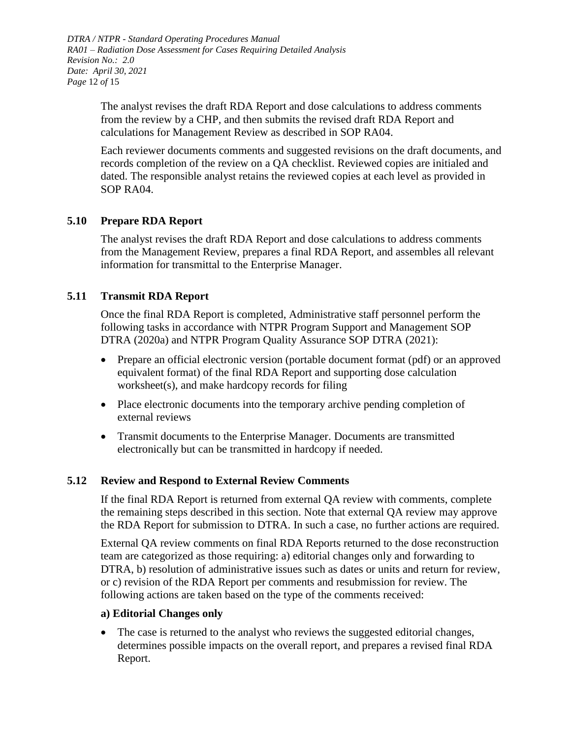*DTRA / NTPR - Standard Operating Procedures Manual RA01 – Radiation Dose Assessment for Cases Requiring Detailed Analysis Revision No.: 2.0 Date: April 30, 2021 Page* 12 *of* 15

> The analyst revises the draft RDA Report and dose calculations to address comments from the review by a CHP, and then submits the revised draft RDA Report and calculations for Management Review as described in SOP RA04.

Each reviewer documents comments and suggested revisions on the draft documents, and records completion of the review on a QA checklist. Reviewed copies are initialed and dated. The responsible analyst retains the reviewed copies at each level as provided in SOP RA04.

## <span id="page-11-0"></span>**5.10 Prepare RDA Report**

The analyst revises the draft RDA Report and dose calculations to address comments from the Management Review, prepares a final RDA Report, and assembles all relevant information for transmittal to the Enterprise Manager.

## <span id="page-11-1"></span>**5.11 Transmit RDA Report**

Once the final RDA Report is completed, Administrative staff personnel perform the following tasks in accordance with NTPR Program Support and Management SOP DTRA (2020a) and NTPR Program Quality Assurance SOP DTRA (2021):

- Prepare an official electronic version (portable document format (pdf) or an approved equivalent format) of the final RDA Report and supporting dose calculation worksheet(s), and make hardcopy records for filing
- Place electronic documents into the temporary archive pending completion of external reviews
- Transmit documents to the Enterprise Manager. Documents are transmitted electronically but can be transmitted in hardcopy if needed.

## <span id="page-11-2"></span>**5.12 Review and Respond to External Review Comments**

If the final RDA Report is returned from external QA review with comments, complete the remaining steps described in this section. Note that external QA review may approve the RDA Report for submission to DTRA. In such a case, no further actions are required.

External QA review comments on final RDA Reports returned to the dose reconstruction team are categorized as those requiring: a) editorial changes only and forwarding to DTRA, b) resolution of administrative issues such as dates or units and return for review, or c) revision of the RDA Report per comments and resubmission for review. The following actions are taken based on the type of the comments received:

#### **a) Editorial Changes only**

 The case is returned to the analyst who reviews the suggested editorial changes, determines possible impacts on the overall report, and prepares a revised final RDA Report.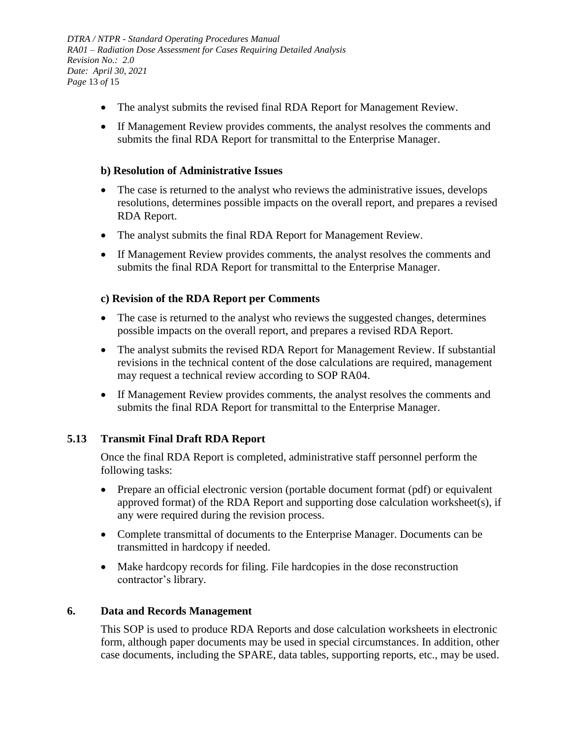*DTRA / NTPR - Standard Operating Procedures Manual RA01 – Radiation Dose Assessment for Cases Requiring Detailed Analysis Revision No.: 2.0 Date: April 30, 2021 Page* 13 *of* 15

- The analyst submits the revised final RDA Report for Management Review.
- If Management Review provides comments, the analyst resolves the comments and submits the final RDA Report for transmittal to the Enterprise Manager.

#### **b) Resolution of Administrative Issues**

- The case is returned to the analyst who reviews the administrative issues, develops resolutions, determines possible impacts on the overall report, and prepares a revised RDA Report.
- The analyst submits the final RDA Report for Management Review.
- If Management Review provides comments, the analyst resolves the comments and submits the final RDA Report for transmittal to the Enterprise Manager.

## **c) Revision of the RDA Report per Comments**

- The case is returned to the analyst who reviews the suggested changes, determines possible impacts on the overall report, and prepares a revised RDA Report.
- The analyst submits the revised RDA Report for Management Review. If substantial revisions in the technical content of the dose calculations are required, management may request a technical review according to SOP RA04.
- If Management Review provides comments, the analyst resolves the comments and submits the final RDA Report for transmittal to the Enterprise Manager.

## <span id="page-12-0"></span>**5.13 Transmit Final Draft RDA Report**

Once the final RDA Report is completed, administrative staff personnel perform the following tasks:

- Prepare an official electronic version (portable document format (pdf) or equivalent approved format) of the RDA Report and supporting dose calculation worksheet(s), if any were required during the revision process.
- Complete transmittal of documents to the Enterprise Manager. Documents can be transmitted in hardcopy if needed.
- Make hardcopy records for filing. File hardcopies in the dose reconstruction contractor's library.

#### <span id="page-12-1"></span>**6. Data and Records Management**

This SOP is used to produce RDA Reports and dose calculation worksheets in electronic form, although paper documents may be used in special circumstances. In addition, other case documents, including the SPARE, data tables, supporting reports, etc., may be used.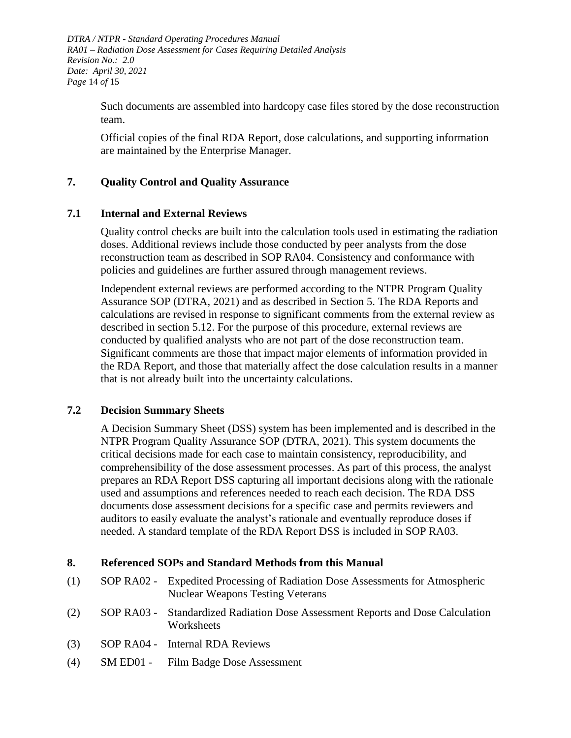*DTRA / NTPR - Standard Operating Procedures Manual RA01 – Radiation Dose Assessment for Cases Requiring Detailed Analysis Revision No.: 2.0 Date: April 30, 2021 Page* 14 *of* 15

> Such documents are assembled into hardcopy case files stored by the dose reconstruction team.

Official copies of the final RDA Report, dose calculations, and supporting information are maintained by the Enterprise Manager.

## <span id="page-13-0"></span>**7. Quality Control and Quality Assurance**

#### <span id="page-13-1"></span>**7.1 Internal and External Reviews**

Quality control checks are built into the calculation tools used in estimating the radiation doses. Additional reviews include those conducted by peer analysts from the dose reconstruction team as described in SOP RA04. Consistency and conformance with policies and guidelines are further assured through management reviews.

Independent external reviews are performed according to the NTPR Program Quality Assurance SOP (DTRA, 2021) and as described in Section 5. The RDA Reports and calculations are revised in response to significant comments from the external review as described in section 5.12. For the purpose of this procedure, external reviews are conducted by qualified analysts who are not part of the dose reconstruction team. Significant comments are those that impact major elements of information provided in the RDA Report, and those that materially affect the dose calculation results in a manner that is not already built into the uncertainty calculations.

#### <span id="page-13-2"></span>**7.2 Decision Summary Sheets**

A Decision Summary Sheet (DSS) system has been implemented and is described in the NTPR Program Quality Assurance SOP (DTRA, 2021). This system documents the critical decisions made for each case to maintain consistency, reproducibility, and comprehensibility of the dose assessment processes. As part of this process, the analyst prepares an RDA Report DSS capturing all important decisions along with the rationale used and assumptions and references needed to reach each decision. The RDA DSS documents dose assessment decisions for a specific case and permits reviewers and auditors to easily evaluate the analyst's rationale and eventually reproduce doses if needed. A standard template of the RDA Report DSS is included in SOP RA03.

#### <span id="page-13-3"></span>**8. Referenced SOPs and Standard Methods from this Manual**

- (1) SOP RA02 Expedited Processing of Radiation Dose Assessments for Atmospheric Nuclear Weapons Testing Veterans
- (2) SOP RA03 Standardized Radiation Dose Assessment Reports and Dose Calculation **Worksheets**
- (3) SOP RA04 Internal RDA Reviews
- (4) SM ED01 Film Badge Dose Assessment